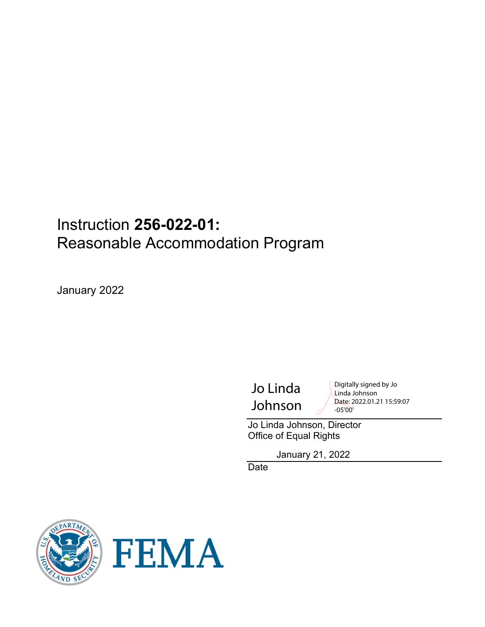# Instruction **256-022-01:** Reasonable Accommodation Program

January 2022

Jo Linda Johnson Digitally signed by Jo Linda Johnson Date: 2022.01.21 15:59:07 -05'00'

Jo Linda Johnson, Director Office of Equal Rights

January 21, 2022

Date



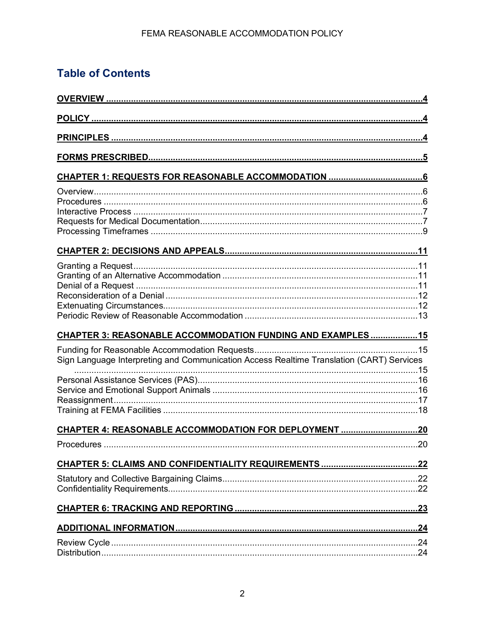## **Table of Contents**

| CHAPTER 3: REASONABLE ACCOMMODATION FUNDING AND EXAMPLES  15                             |     |
|------------------------------------------------------------------------------------------|-----|
| Sign Language Interpreting and Communication Access Realtime Translation (CART) Services |     |
|                                                                                          |     |
|                                                                                          |     |
|                                                                                          |     |
|                                                                                          |     |
| Procedures                                                                               | .20 |
|                                                                                          |     |
|                                                                                          |     |
|                                                                                          |     |
|                                                                                          |     |
|                                                                                          |     |
|                                                                                          |     |
|                                                                                          |     |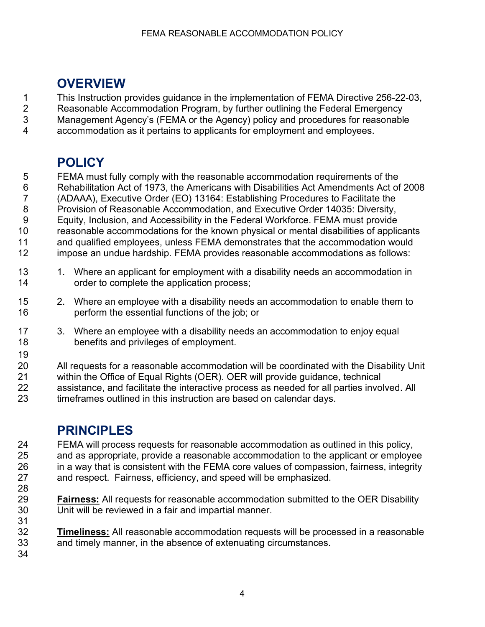# <span id="page-3-0"></span>**OVERVIEW**

1 This Instruction provides guidance in the implementation of FEMA Directive 256-22-03,<br>2 Reasonable Accommodation Program, by further outlining the Federal Emergency

Reasonable Accommodation Program, by further outlining the Federal Emergency

Management Agency's (FEMA or the Agency) policy and procedures for reasonable

accommodation as it pertains to applicants for employment and employees.

# <span id="page-3-1"></span>**POLICY**

 FEMA must fully comply with the reasonable accommodation requirements of the Rehabilitation Act of 1973, the Americans with Disabilities Act Amendments Act of 2008 (ADAAA), Executive Order (EO) 13164: Establishing Procedures to Facilitate the Provision of Reasonable Accommodation, and Executive Order 14035: Diversity, Equity, Inclusion, and Accessibility in the Federal Workforce. FEMA must provide reasonable accommodations for the known physical or mental disabilities of applicants 11 and qualified employees, unless FEMA demonstrates that the accommodation would<br>12 impose an undue hardship. FEMA provides reasonable accommodations as follows: impose an undue hardship. FEMA provides reasonable accommodations as follows:

- 13 1. Where an applicant for employment with a disability needs an accommodation in order to complete the application process;
- 2. Where an employee with a disability needs an accommodation to enable them to perform the essential functions of the job; or
- 3. Where an employee with a disability needs an accommodation to enjoy equal benefits and privileges of employment.

All requests for a reasonable accommodation will be coordinated with the Disability Unit within the Office of Equal Rights (OER). OER will provide guidance, technical assistance, and facilitate the interactive process as needed for all parties involved. All timeframes outlined in this instruction are based on calendar days.

# <span id="page-3-2"></span>**PRINCIPLES**

 FEMA will process requests for reasonable accommodation as outlined in this policy, and as appropriate, provide a reasonable accommodation to the applicant or employee in a way that is consistent with the FEMA core values of compassion, fairness, integrity and respect. Fairness, efficiency, and speed will be emphasized.

 **Fairness:** All requests for reasonable accommodation submitted to the OER Disability Unit will be reviewed in a fair and impartial manner. 

 **Timeliness:** All reasonable accommodation requests will be processed in a reasonable and timely manner, in the absence of extenuating circumstances.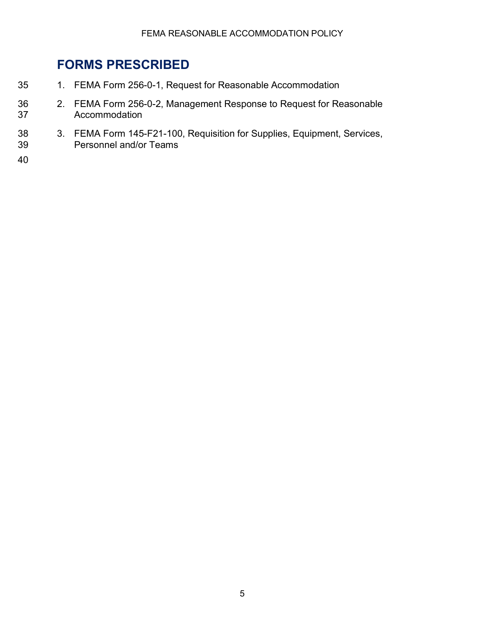# <span id="page-4-0"></span>**FORMS PRESCRIBED**

- 35 1. FEMA Form 256-0-1, Request for Reasonable Accommodation
- 36 2. FEMA Form 256-0-2, Management Response to Request for Reasonable Accommodation
- 38 3. FEMA Form 145-F21-100, Requisition for Supplies, Equipment, Services, 39 Personnel and/or Teams
- 40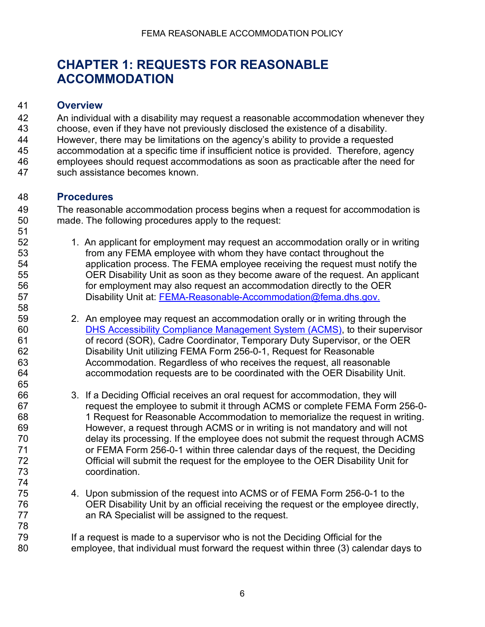# <span id="page-5-1"></span><span id="page-5-0"></span>**CHAPTER 1: REQUESTS FOR REASONABLE ACCOMMODATION**

#### **Overview**

 An individual with a disability may request a reasonable accommodation whenever they choose, even if they have not previously disclosed the existence of a disability. However, there may be limitations on the agency's ability to provide a requested accommodation at a specific time if insufficient notice is provided. Therefore, agency

- employees should request accommodations as soon as practicable after the need for
- <span id="page-5-2"></span>such assistance becomes known.

### **Procedures**

 The reasonable accommodation process begins when a request for accommodation is made. The following procedures apply to the request: 51<br>52

- 1. An applicant for employment may request an accommodation orally or in writing from any FEMA employee with whom they have contact throughout the application process. The FEMA employee receiving the request must notify the OER Disability Unit as soon as they become aware of the request. An applicant for employment may also request an accommodation directly to the OER **Disability Unit at: FEMA-Reasonable-Accommodation@fema.dhs.gov.**
- 2. An employee may request an accommodation orally or in writing through the [DHS Accessibility Compliance Management System \(ACMS\),](https://dhs.servicenowservices.com/oast) to their supervisor 61 of record (SOR), Cadre Coordinator, Temporary Duty Supervisor, or the OER<br>62 **Disability Unit utilizing FEMA Form 256-0-1**. Request for Reasonable Disability Unit utilizing FEMA Form 256-0-1, Request for Reasonable Accommodation. Regardless of who receives the request, all reasonable accommodation requests are to be coordinated with the OER Disability Unit.
- 3. If a Deciding Official receives an oral request for accommodation, they will request the employee to submit it through ACMS or complete FEMA Form 256-0- 1 Request for Reasonable Accommodation to memorialize the request in writing. However, a request through ACMS or in writing is not mandatory and will not delay its processing. If the employee does not submit the request through ACMS or FEMA Form 256-0-1 within three calendar days of the request, the Deciding Official will submit the request for the employee to the OER Disability Unit for coordination.
- 4. Upon submission of the request into ACMS or of FEMA Form 256-0-1 to the OER Disability Unit by an official receiving the request or the employee directly, an RA Specialist will be assigned to the request.

79 If a request is made to a supervisor who is not the Deciding Official for the employee, that individual must forward the request within three (3) calendar days to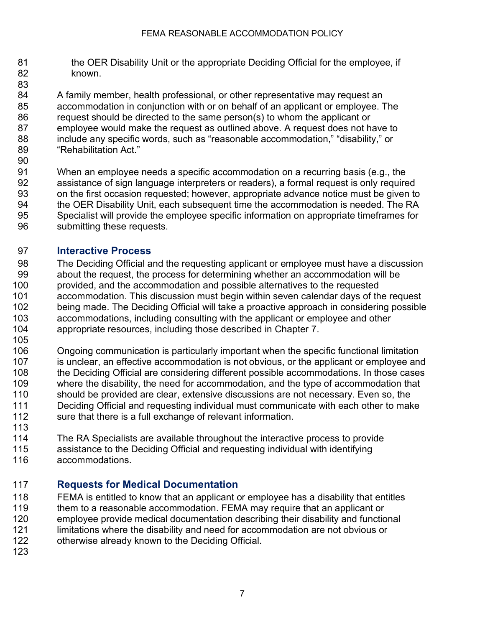- 81 the OER Disability Unit or the appropriate Deciding Official for the employee, if known.
- A family member, health professional, or other representative may request an accommodation in conjunction with or on behalf of an applicant or employee. The request should be directed to the same person(s) to whom the applicant or employee would make the request as outlined above. A request does not have to include any specific words, such as "reasonable accommodation," "disability," or "Rehabilitation Act."
- 
- When an employee needs a specific accommodation on a recurring basis (e.g., the assistance of sign language interpreters or readers), a formal request is only required on the first occasion requested; however, appropriate advance notice must be given to the OER Disability Unit, each subsequent time the accommodation is needed. The RA Specialist will provide the employee specific information on appropriate timeframes for submitting these requests.

### <span id="page-6-0"></span>**Interactive Process**

- 98 The Deciding Official and the requesting applicant or employee must have a discussion<br>99 https about the request, the process for determining whether an accommodation will be about the request, the process for determining whether an accommodation will be provided, and the accommodation and possible alternatives to the requested accommodation. This discussion must begin within seven calendar days of the request being made. The Deciding Official will take a proactive approach in considering possible accommodations, including consulting with the applicant or employee and other appropriate resources, including those described in Chapter 7.
- 105<br>106 Ongoing communication is particularly important when the specific functional limitation 107 is unclear, an effective accommodation is not obvious, or the applicant or employee and 108 the Deciding Official are considering different possible accommodations. In those cases<br>109 where the disability, the need for accommodation, and the type of accommodation that where the disability, the need for accommodation, and the type of accommodation that should be provided are clear, extensive discussions are not necessary. Even so, the Deciding Official and requesting individual must communicate with each other to make sure that there is a full exchange of relevant information.
- The RA Specialists are available throughout the interactive process to provide
- assistance to the Deciding Official and requesting individual with identifying
- <span id="page-6-1"></span>accommodations.

### **Requests for Medical Documentation**

- FEMA is entitled to know that an applicant or employee has a disability that entitles
- 119 them to a reasonable accommodation. FEMA may require that an applicant or
- employee provide medical documentation describing their disability and functional
- limitations where the disability and need for accommodation are not obvious or
- otherwise already known to the Deciding Official.
-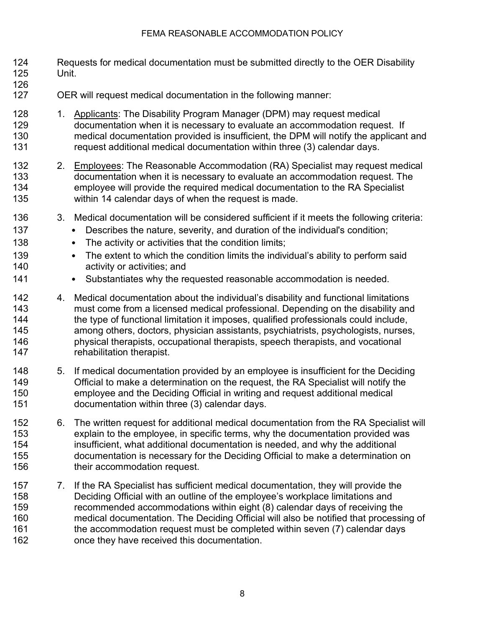- Requests for medical documentation must be submitted directly to the OER Disability Unit.
- 
- OER will request medical documentation in the following manner:
- 128 1. Applicants: The Disability Program Manager (DPM) may request medical documentation when it is necessary to evaluate an accommodation request. If medical documentation provided is insufficient, the DPM will notify the applicant and request additional medical documentation within three (3) calendar days.
- 2. Employees: The Reasonable Accommodation (RA) Specialist may request medical documentation when it is necessary to evaluate an accommodation request. The employee will provide the required medical documentation to the RA Specialist within 14 calendar days of when the request is made.
- 3. Medical documentation will be considered sufficient if it meets the following criteria:
- 137 Describes the nature, severity, and duration of the individual's condition;
- 138 The activity or activities that the condition limits;
- 139 The extent to which the condition limits the individual's ability to perform said activity or activities; and
- 141 Substantiates why the requested reasonable accommodation is needed.
- 4. Medical documentation about the individual's disability and functional limitations must come from a licensed medical professional. Depending on the disability and the type of functional limitation it imposes, qualified professionals could include, among others, doctors, physician assistants, psychiatrists, psychologists, nurses, physical therapists, occupational therapists, speech therapists, and vocational 147 rehabilitation therapist.
- 5. If medical documentation provided by an employee is insufficient for the Deciding Official to make a determination on the request, the RA Specialist will notify the employee and the Deciding Official in writing and request additional medical documentation within three (3) calendar days.
- 6. The written request for additional medical documentation from the RA Specialist will explain to the employee, in specific terms, why the documentation provided was insufficient, what additional documentation is needed, and why the additional documentation is necessary for the Deciding Official to make a determination on their accommodation request.
- 7. If the RA Specialist has sufficient medical documentation, they will provide the Deciding Official with an outline of the employee's workplace limitations and recommended accommodations within eight (8) calendar days of receiving the medical documentation. The Deciding Official will also be notified that processing of the accommodation request must be completed within seven (7) calendar days once they have received this documentation.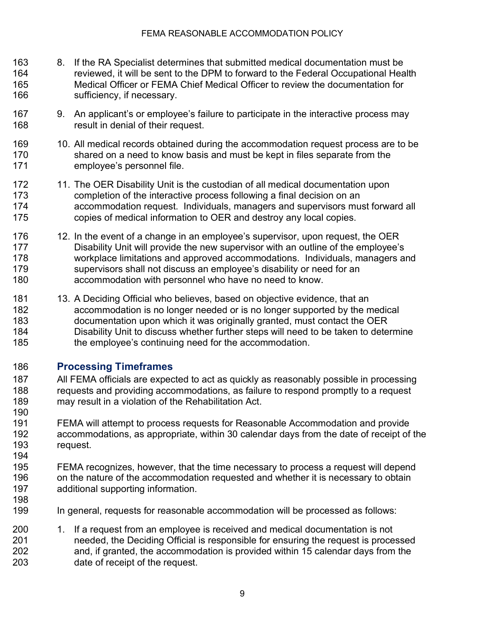- 8. If the RA Specialist determines that submitted medical documentation must be reviewed, it will be sent to the DPM to forward to the Federal Occupational Health Medical Officer or FEMA Chief Medical Officer to review the documentation for 166 sufficiency, if necessary.
- 9. An applicant's or employee's failure to participate in the interactive process may result in denial of their request.
- 10. All medical records obtained during the accommodation request process are to be shared on a need to know basis and must be kept in files separate from the employee's personnel file.
- 172 11. The OER Disability Unit is the custodian of all medical documentation upon completion of the interactive process following a final decision on an accommodation request. Individuals, managers and supervisors must forward all copies of medical information to OER and destroy any local copies.
- 12. In the event of a change in an employee's supervisor, upon request, the OER Disability Unit will provide the new supervisor with an outline of the employee's workplace limitations and approved accommodations. Individuals, managers and 179 supervisors shall not discuss an employee's disability or need for an accommodation with personnel who have no need to know.
- 13. A Deciding Official who believes, based on objective evidence, that an accommodation is no longer needed or is no longer supported by the medical documentation upon which it was originally granted, must contact the OER Disability Unit to discuss whether further steps will need to be taken to determine 185 the employee's continuing need for the accommodation.

### <span id="page-8-0"></span>**Processing Timeframes**

- All FEMA officials are expected to act as quickly as reasonably possible in processing requests and providing accommodations, as failure to respond promptly to a request may result in a violation of the Rehabilitation Act.
- FEMA will attempt to process requests for Reasonable Accommodation and provide accommodations, as appropriate, within 30 calendar days from the date of receipt of the request.
- FEMA recognizes, however, that the time necessary to process a request will depend 196 on the nature of the accommodation requested and whether it is necessary to obtain additional supporting information.
- In general, requests for reasonable accommodation will be processed as follows:
- 1. If a request from an employee is received and medical documentation is not needed, the Deciding Official is responsible for ensuring the request is processed and, if granted, the accommodation is provided within 15 calendar days from the date of receipt of the request.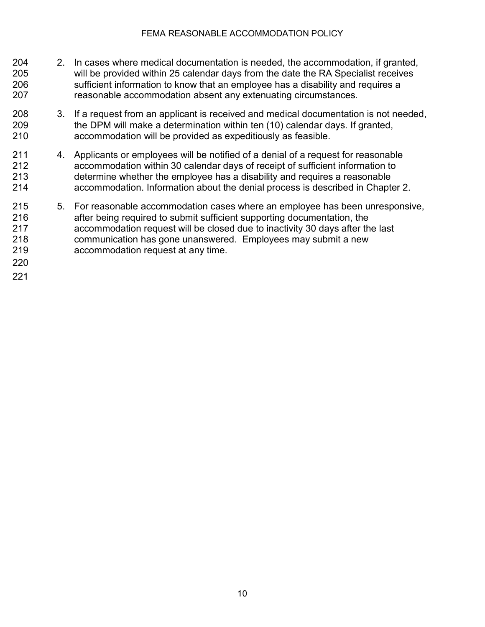- 2. In cases where medical documentation is needed, the accommodation, if granted, will be provided within 25 calendar days from the date the RA Specialist receives sufficient information to know that an employee has a disability and requires a reasonable accommodation absent any extenuating circumstances.
- 3. If a request from an applicant is received and medical documentation is not needed, the DPM will make a determination within ten (10) calendar days. If granted, accommodation will be provided as expeditiously as feasible.
- 4. Applicants or employees will be notified of a denial of a request for reasonable accommodation within 30 calendar days of receipt of sufficient information to determine whether the employee has a disability and requires a reasonable accommodation. Information about the denial process is described in Chapter 2.
- 5. For reasonable accommodation cases where an employee has been unresponsive, after being required to submit sufficient supporting documentation, the accommodation request will be closed due to inactivity 30 days after the last communication has gone unanswered. Employees may submit a new accommodation request at any time.
-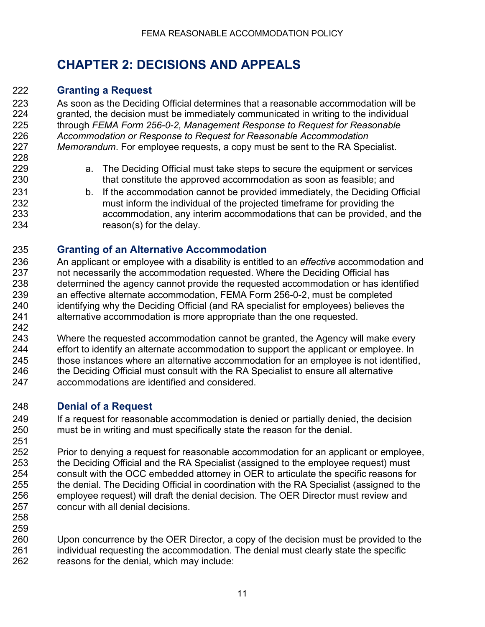# <span id="page-10-1"></span><span id="page-10-0"></span>**CHAPTER 2: DECISIONS AND APPEALS**

### **Granting a Request**

 As soon as the Deciding Official determines that a reasonable accommodation will be granted, the decision must be immediately communicated in writing to the individual through *FEMA Form 256-0-2, Management Response to Request for Reasonable Accommodation or Response to Request for Reasonable Accommodation Memorandum*. For employee requests, a copy must be sent to the RA Specialist.

- a. The Deciding Official must take steps to secure the equipment or services that constitute the approved accommodation as soon as feasible; and
- 231 b. If the accommodation cannot be provided immediately, the Deciding Official must inform the individual of the projected timeframe for providing the accommodation, any interim accommodations that can be provided, and the reason(s) for the delay.

### <span id="page-10-2"></span>**Granting of an Alternative Accommodation**

- An applicant or employee with a disability is entitled to an *effective* accommodation and 237 not necessarily the accommodation requested. Where the Deciding Official has<br>238 determined the agency cannot provide the requested accommodation or has ide determined the agency cannot provide the requested accommodation or has identified an effective alternate accommodation, FEMA Form 256-0-2, must be completed identifying why the Deciding Official (and RA specialist for employees) believes the alternative accommodation is more appropriate than the one requested.
- Where the requested accommodation cannot be granted, the Agency will make every effort to identify an alternate accommodation to support the applicant or employee. In those instances where an alternative accommodation for an employee is not identified, the Deciding Official must consult with the RA Specialist to ensure all alternative accommodations are identified and considered.

### <span id="page-10-3"></span>**Denial of a Request**

 If a request for reasonable accommodation is denied or partially denied, the decision must be in writing and must specifically state the reason for the denial. 

- Prior to denying a request for reasonable accommodation for an applicant or employee, the Deciding Official and the RA Specialist (assigned to the employee request) must consult with the OCC embedded attorney in OER to articulate the specific reasons for the denial. The Deciding Official in coordination with the RA Specialist (assigned to the employee request) will draft the denial decision. The OER Director must review and concur with all denial decisions.
- 

 Upon concurrence by the OER Director, a copy of the decision must be provided to the individual requesting the accommodation. The denial must clearly state the specific reasons for the denial, which may include: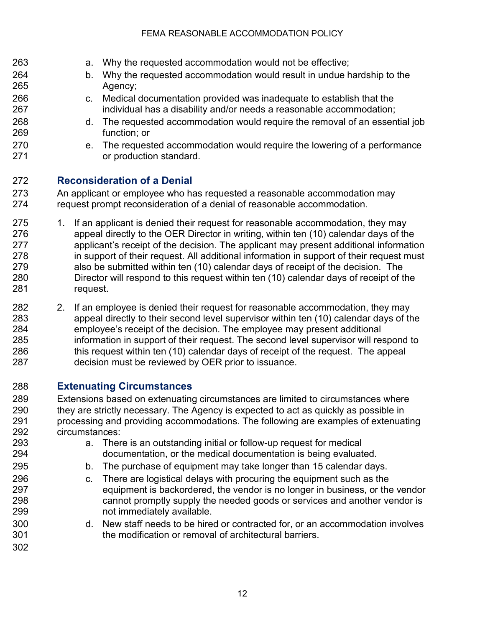<span id="page-11-0"></span>

| 263<br>264<br>265<br>266<br>267<br>268<br>269<br>270<br>271 |         | a.<br>b.<br>$C_{-}$<br>d.<br>$e_{\cdot}$                                                                                                                                                                                                                                                                                                                                                                                                                                                                                                            | Why the requested accommodation would not be effective;<br>Why the requested accommodation would result in undue hardship to the<br>Agency;<br>Medical documentation provided was inadequate to establish that the<br>individual has a disability and/or needs a reasonable accommodation;<br>The requested accommodation would require the removal of an essential job<br>function; or<br>The requested accommodation would require the lowering of a performance<br>or production standard. |
|-------------------------------------------------------------|---------|-----------------------------------------------------------------------------------------------------------------------------------------------------------------------------------------------------------------------------------------------------------------------------------------------------------------------------------------------------------------------------------------------------------------------------------------------------------------------------------------------------------------------------------------------------|-----------------------------------------------------------------------------------------------------------------------------------------------------------------------------------------------------------------------------------------------------------------------------------------------------------------------------------------------------------------------------------------------------------------------------------------------------------------------------------------------|
| 272<br>273<br>274                                           |         |                                                                                                                                                                                                                                                                                                                                                                                                                                                                                                                                                     | <b>Reconsideration of a Denial</b><br>An applicant or employee who has requested a reasonable accommodation may<br>request prompt reconsideration of a denial of reasonable accommodation.                                                                                                                                                                                                                                                                                                    |
| 275<br>276<br>277<br>278<br>279<br>280<br>281               | 1.      | If an applicant is denied their request for reasonable accommodation, they may<br>appeal directly to the OER Director in writing, within ten (10) calendar days of the<br>applicant's receipt of the decision. The applicant may present additional information<br>in support of their request. All additional information in support of their request must<br>also be submitted within ten (10) calendar days of receipt of the decision. The<br>Director will respond to this request within ten (10) calendar days of receipt of the<br>request. |                                                                                                                                                                                                                                                                                                                                                                                                                                                                                               |
| 282                                                         | $2_{-}$ |                                                                                                                                                                                                                                                                                                                                                                                                                                                                                                                                                     | If an employee is denied their request for reasonable accommodation, they may                                                                                                                                                                                                                                                                                                                                                                                                                 |

 appeal directly to their second level supervisor within ten (10) calendar days of the employee's receipt of the decision. The employee may present additional information in support of their request. The second level supervisor will respond to this request within ten (10) calendar days of receipt of the request. The appeal decision must be reviewed by OER prior to issuance.

#### <span id="page-11-1"></span>**Extenuating Circumstances**

 Extensions based on extenuating circumstances are limited to circumstances where 290 they are strictly necessary. The Agency is expected to act as quickly as possible in processing and providing accommodations. The following are examples of extenuating circumstances:

- a. There is an outstanding initial or follow-up request for medical documentation, or the medical documentation is being evaluated.
- b. The purchase of equipment may take longer than 15 calendar days.
- c. There are logistical delays with procuring the equipment such as the equipment is backordered, the vendor is no longer in business, or the vendor cannot promptly supply the needed goods or services and another vendor is not immediately available.
- d. New staff needs to be hired or contracted for, or an accommodation involves the modification or removal of architectural barriers.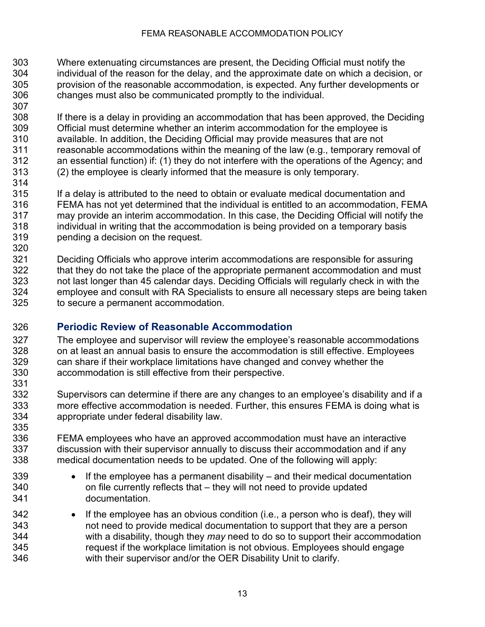- Where extenuating circumstances are present, the Deciding Official must notify the individual of the reason for the delay, and the approximate date on which a decision, or provision of the reasonable accommodation, is expected. Any further developments or changes must also be communicated promptly to the individual.
- If there is a delay in providing an accommodation that has been approved, the Deciding Official must determine whether an interim accommodation for the employee is available. In addition, the Deciding Official may provide measures that are not reasonable accommodations within the meaning of the law (e.g., temporary removal of an essential function) if: (1) they do not interfere with the operations of the Agency; and (2) the employee is clearly informed that the measure is only temporary.
- If a delay is attributed to the need to obtain or evaluate medical documentation and FEMA has not yet determined that the individual is entitled to an accommodation, FEMA may provide an interim accommodation. In this case, the Deciding Official will notify the individual in writing that the accommodation is being provided on a temporary basis pending a decision on the request.
- 321 Deciding Officials who approve interim accommodations are responsible for assuring<br>322 that they do not take the place of the appropriate permanent accommodation and mus that they do not take the place of the appropriate permanent accommodation and must not last longer than 45 calendar days. Deciding Officials will regularly check in with the employee and consult with RA Specialists to ensure all necessary steps are being taken to secure a permanent accommodation.

### <span id="page-12-0"></span>**Periodic Review of Reasonable Accommodation**

- 327 The employee and supervisor will review the employee's reasonable accommodations<br>328 on at least an annual basis to ensure the accommodation is still effective. Employees on at least an annual basis to ensure the accommodation is still effective. Employees can share if their workplace limitations have changed and convey whether the accommodation is still effective from their perspective.
- Supervisors can determine if there are any changes to an employee's disability and if a more effective accommodation is needed. Further, this ensures FEMA is doing what is appropriate under federal disability law.
- FEMA employees who have an approved accommodation must have an interactive discussion with their supervisor annually to discuss their accommodation and if any medical documentation needs to be updated. One of the following will apply:
- 339 If the employee has a permanent disability and their medical documentation on file currently reflects that – they will not need to provide updated documentation.
- If the employee has an obvious condition (i.e., a person who is deaf), they will not need to provide medical documentation to support that they are a person with a disability, though they *may* need to do so to support their accommodation request if the workplace limitation is not obvious. Employees should engage with their supervisor and/or the OER Disability Unit to clarify.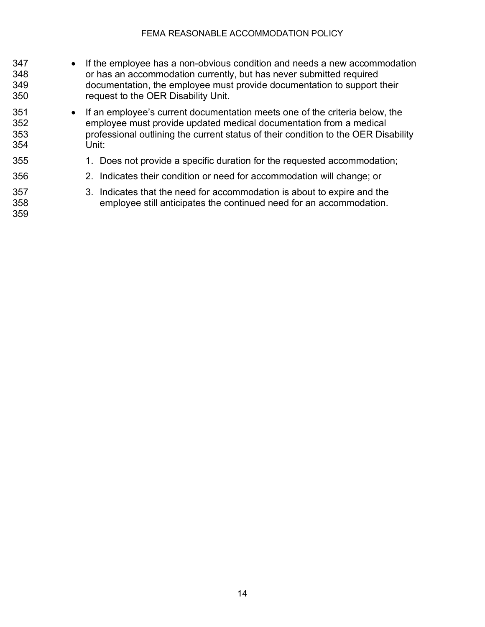- If the employee has a non-obvious condition and needs a new accommodation or has an accommodation currently, but has never submitted required documentation, the employee must provide documentation to support their request to the OER Disability Unit.
- If an employee's current documentation meets one of the criteria below, the employee must provide updated medical documentation from a medical professional outlining the current status of their condition to the OER Disability Unit:
- 1. Does not provide a specific duration for the requested accommodation;
- 2. Indicates their condition or need for accommodation will change; or
- 3. Indicates that the need for accommodation is about to expire and the employee still anticipates the continued need for an accommodation.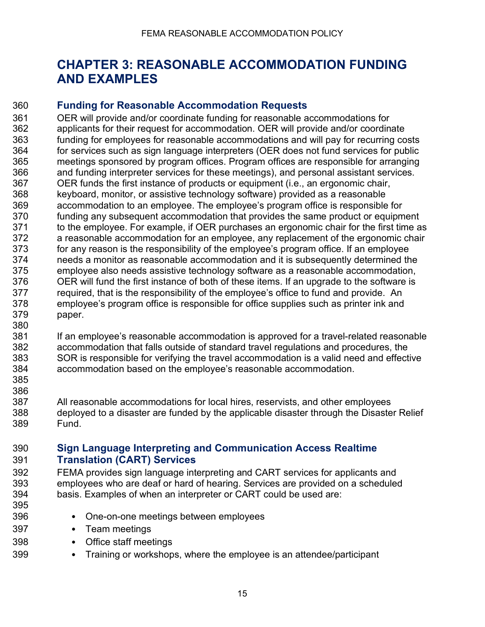### <span id="page-14-1"></span><span id="page-14-0"></span>**CHAPTER 3: REASONABLE ACCOMMODATION FUNDING AND EXAMPLES**

#### **Funding for Reasonable Accommodation Requests**

 OER will provide and/or coordinate funding for reasonable accommodations for applicants for their request for accommodation. OER will provide and/or coordinate funding for employees for reasonable accommodations and will pay for recurring costs for services such as sign language interpreters (OER does not fund services for public meetings sponsored by program offices. Program offices are responsible for arranging and funding interpreter services for these meetings), and personal assistant services. OER funds the first instance of products or equipment (i.e., an ergonomic chair, keyboard, monitor, or assistive technology software) provided as a reasonable accommodation to an employee. The employee's program office is responsible for funding any subsequent accommodation that provides the same product or equipment 371 to the employee. For example, if OER purchases an ergonomic chair for the first time as a reasonable accommodation for an employee, any replacement of the ergonomic chair for any reason is the responsibility of the employee's program office. If an employee needs a monitor as reasonable accommodation and it is subsequently determined the employee also needs assistive technology software as a reasonable accommodation, OER will fund the first instance of both of these items. If an upgrade to the software is required, that is the responsibility of the employee's office to fund and provide. An employee's program office is responsible for office supplies such as printer ink and paper. 

 If an employee's reasonable accommodation is approved for a travel-related reasonable accommodation that falls outside of standard travel regulations and procedures, the SOR is responsible for verifying the travel accommodation is a valid need and effective accommodation based on the employee's reasonable accommodation.

 

 All reasonable accommodations for local hires, reservists, and other employees deployed to a disaster are funded by the applicable disaster through the Disaster Relief Fund.

#### <span id="page-14-2"></span> **Sign Language Interpreting and Communication Access Realtime Translation (CART) Services**

 FEMA provides sign language interpreting and CART services for applicants and employees who are deaf or hard of hearing. Services are provided on a scheduled basis. Examples of when an interpreter or CART could be used are:

- 
- One-on-one meetings between employees
- Team meetings
- Office staff meetings
- Training or workshops, where the employee is an attendee/participant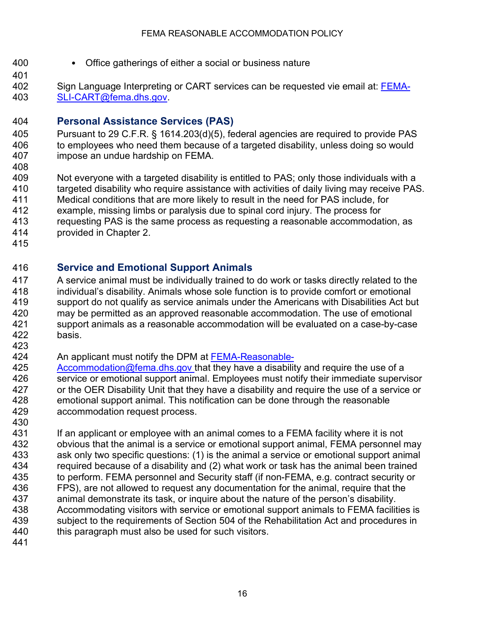- 
- Office gatherings of either a social or business nature
- 
- <span id="page-15-0"></span>
- 402 Sign Language Interpreting or CART services can be requested vie email at: [FEMA-](mailto:FEMA-SLI-CART@fema.dhs.gov)[SLI-CART@fema.dhs.gov.](mailto:FEMA-SLI-CART@fema.dhs.gov)

### **Personal Assistance Services (PAS)**

- Pursuant to 29 C.F.R. § 1614.203(d)(5), federal agencies are required to provide PAS to employees who need them because of a targeted disability, unless doing so would impose an undue hardship on FEMA.
- Not everyone with a targeted disability is entitled to PAS; only those individuals with a targeted disability who require assistance with activities of daily living may receive PAS.
- Medical conditions that are more likely to result in the need for PAS include, for example, missing limbs or paralysis due to spinal cord injury. The process for
- requesting PAS is the same process as requesting a reasonable accommodation, as
- provided in Chapter 2.
- <span id="page-15-1"></span>

### **Service and Emotional Support Animals**

- A service animal must be individually trained to do work or tasks directly related to the individual's disability. Animals whose sole function is to provide comfort or emotional support do not qualify as service animals under the Americans with Disabilities Act but may be permitted as an approved reasonable accommodation. The use of emotional support animals as a reasonable accommodation will be evaluated on a case-by-case basis.
- 
- An applicant must notify the DPM at [FEMA-Reasonable-](mailto:FEMA-Reasonable-Accommodation@fema.dhs.gov)
- [Accommodation@fema.dhs.gov](mailto:FEMA-Reasonable-Accommodation@fema.dhs.gov) that they have a disability and require the use of a service or emotional support animal. Employees must notify their immediate supervisor or the OER Disability Unit that they have a disability and require the use of a service or emotional support animal. This notification can be done through the reasonable accommodation request process.
- If an applicant or employee with an animal comes to a FEMA facility where it is not obvious that the animal is a service or emotional support animal, FEMA personnel may ask only two specific questions: (1) is the animal a service or emotional support animal 434 required because of a disability and (2) what work or task has the animal been trained<br>435 to perform. FEMA personnel and Security staff (if non-FEMA, e.g. contract security or to perform. FEMA personnel and Security staff (if non-FEMA, e.g. contract security or FPS), are not allowed to request any documentation for the animal, require that the 437 animal demonstrate its task, or inquire about the nature of the person's disability.<br>438 Accommodating visitors with service or emotional support animals to FEMA facilit Accommodating visitors with service or emotional support animals to FEMA facilities is subject to the requirements of Section 504 of the Rehabilitation Act and procedures in 440 this paragraph must also be used for such visitors.
-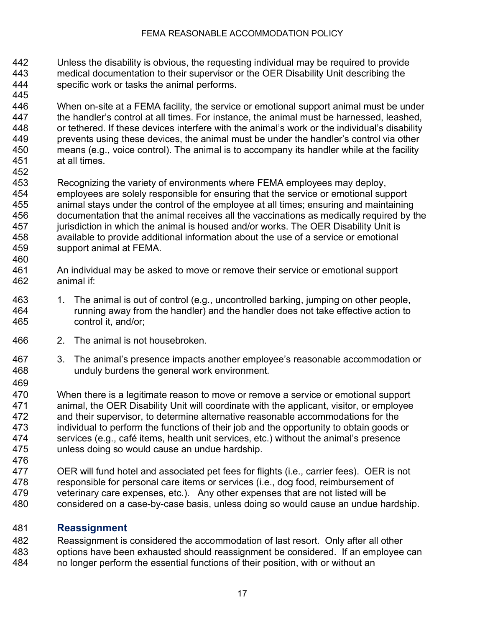- Unless the disability is obvious, the requesting individual may be required to provide medical documentation to their supervisor or the OER Disability Unit describing the specific work or tasks the animal performs.
- When on-site at a FEMA facility, the service or emotional support animal must be under the handler's control at all times. For instance, the animal must be harnessed, leashed, or tethered. If these devices interfere with the animal's work or the individual's disability prevents using these devices, the animal must be under the handler's control via other means (e.g., voice control). The animal is to accompany its handler while at the facility at all times.
- Recognizing the variety of environments where FEMA employees may deploy, employees are solely responsible for ensuring that the service or emotional support animal stays under the control of the employee at all times; ensuring and maintaining documentation that the animal receives all the vaccinations as medically required by the jurisdiction in which the animal is housed and/or works. The OER Disability Unit is available to provide additional information about the use of a service or emotional support animal at FEMA.
- 460<br>461 An individual may be asked to move or remove their service or emotional support animal if:
- 1. The animal is out of control (e.g., uncontrolled barking, jumping on other people, running away from the handler) and the handler does not take effective action to control it, and/or;
- 2. The animal is not housebroken.
- 3. The animal's presence impacts another employee's reasonable accommodation or unduly burdens the general work environment.
- 

470 When there is a legitimate reason to move or remove a service or emotional support<br>471 animal, the OER Disability Unit will coordinate with the applicant, visitor, or emplovee animal, the OER Disability Unit will coordinate with the applicant, visitor, or employee 472 and their supervisor, to determine alternative reasonable accommodations for the<br>473 individual to perform the functions of their iob and the opportunity to obtain goods individual to perform the functions of their job and the opportunity to obtain goods or services (e.g., café items, health unit services, etc.) without the animal's presence unless doing so would cause an undue hardship.

 OER will fund hotel and associated pet fees for flights (i.e., carrier fees). OER is not 478 responsible for personal care items or services (i.e., dog food, reimbursement of 479 veterinary care expenses, etc.). Any other expenses that are not listed will be veterinary care expenses, etc.). Any other expenses that are not listed will be considered on a case-by-case basis, unless doing so would cause an undue hardship.

### <span id="page-16-0"></span>**Reassignment**

 Reassignment is considered the accommodation of last resort. Only after all other options have been exhausted should reassignment be considered. If an employee can no longer perform the essential functions of their position, with or without an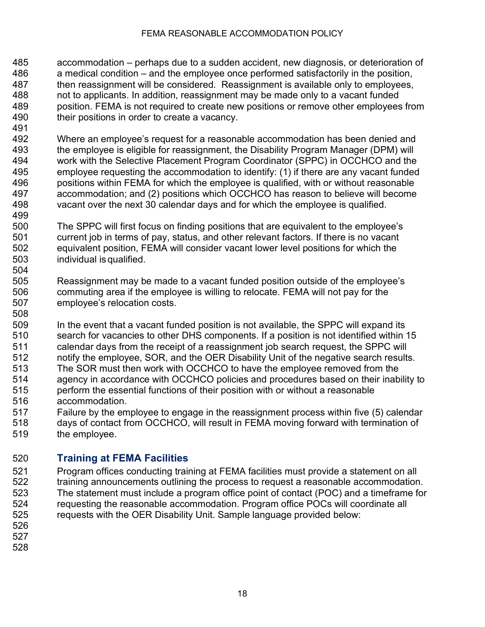- accommodation perhaps due to a sudden accident, new diagnosis, or deterioration of a medical condition – and the employee once performed satisfactorily in the position, then reassignment will be considered. Reassignment is available only to employees, not to applicants. In addition, reassignment may be made only to a vacant funded position. FEMA is not required to create new positions or remove other employees from their positions in order to create a vacancy.
- Where an employee's request for a reasonable accommodation has been denied and 493 the employee is eligible for reassignment, the Disability Program Manager (DPM) will<br>494 work with the Selective Placement Program Coordinator (SPPC) in OCCHCO and the work with the Selective Placement Program Coordinator (SPPC) in OCCHCO and the employee requesting the accommodation to identify: (1) if there are any vacant funded positions within FEMA for which the employee is qualified, with or without reasonable accommodation; and (2) positions which OCCHCO has reason to believe will become vacant over the next 30 calendar days and for which the employee is qualified.
- The SPPC will first focus on finding positions that are equivalent to the employee's current job in terms of pay, status, and other relevant factors. If there is no vacant equivalent position, FEMA will consider vacant lower level positions for which the individual is qualified.
- Reassignment may be made to a vacant funded position outside of the employee's commuting area if the employee is willing to relocate. FEMA will not pay for the employee's relocation costs.
- In the event that a vacant funded position is not available, the SPPC will expand its search for vacancies to other DHS components. If a position is not identified within 15 calendar days from the receipt of a reassignment job search request, the SPPC will notify the employee, SOR, and the OER Disability Unit of the negative search results. 513 The SOR must then work with OCCHCO to have the employee removed from the<br>514 agency in accordance with OCCHCO policies and procedures based on their inab agency in accordance with OCCHCO policies and procedures based on their inability to perform the essential functions of their position with or without a reasonable accommodation.
- Failure by the employee to engage in the reassignment process within five (5) calendar days of contact from OCCHCO, will result in FEMA moving forward with termination of
- the employee.

### <span id="page-17-0"></span>**Training at FEMA Facilities**

- Program offices conducting training at FEMA facilities must provide a statement on all 522 training announcements outlining the process to request a reasonable accommodation.<br>523 The statement must include a program office point of contact (POC) and a timeframe for The statement must include a program office point of contact (POC) and a timeframe for requesting the reasonable accommodation. Program office POCs will coordinate all requests with the OER Disability Unit. Sample language provided below:
- 

- 
-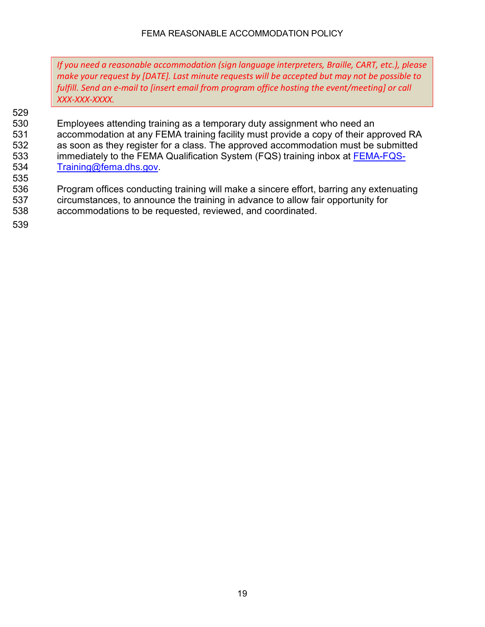*If you need a reasonable accommodation (sign language interpreters, Braille, CART, etc.), please make your request by [DATE]. Last minute requests will be accepted but may not be possible to fulfill. Send an e-mail to [insert email from program office hosting the event/meeting] or call XXX-XXX-XXXX.*

# 529<br>530

Employees attending training as a temporary duty assignment who need an 531 accommodation at any FEMA training facility must provide a copy of their approved RA 532 as soon as they register for a class. The approved accommodation must be submitted 533 immediately to the FEMA Qualification System (FQS) training inbox at **FEMA-FQS-**<br>534 Training@fema.dhs.gov. [Training@fema.dhs.gov.](mailto:FEMA-FQS-Training@fema.dhs.gov)

536 Program offices conducting training will make a sincere effort, barring any extenuating 537 circumstances, to announce the training in advance to allow fair opportunity for 538 accommodations to be requested, reviewed, and coordinated.

539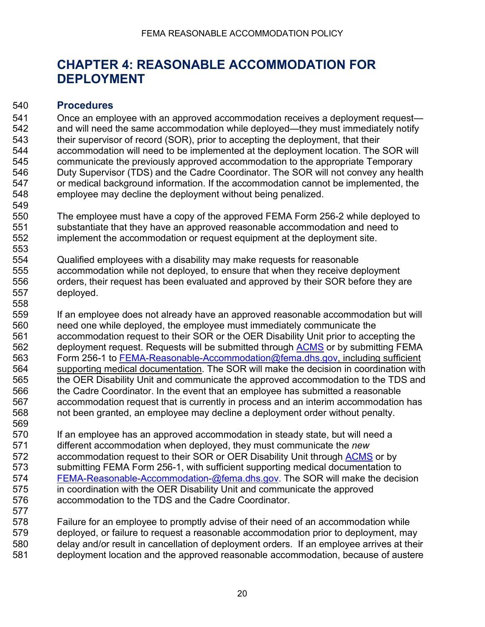## <span id="page-19-1"></span><span id="page-19-0"></span>**CHAPTER 4: REASONABLE ACCOMMODATION FOR DEPLOYMENT**

#### **Procedures**

 Once an employee with an approved accommodation receives a deployment request— and will need the same accommodation while deployed—they must immediately notify their supervisor of record (SOR), prior to accepting the deployment, that their accommodation will need to be implemented at the deployment location. The SOR will communicate the previously approved accommodation to the appropriate Temporary Duty Supervisor (TDS) and the Cadre Coordinator. The SOR will not convey any health or medical background information. If the accommodation cannot be implemented, the employee may decline the deployment without being penalized. 

 The employee must have a copy of the approved FEMA Form 256-2 while deployed to substantiate that they have an approved reasonable accommodation and need to implement the accommodation or request equipment at the deployment site.

 Qualified employees with a disability may make requests for reasonable accommodation while not deployed, to ensure that when they receive deployment orders, their request has been evaluated and approved by their SOR before they are deployed.

 If an employee does not already have an approved reasonable accommodation but will need one while deployed, the employee must immediately communicate the accommodation request to their SOR or the OER Disability Unit prior to accepting the 562 deployment request. Requests will be submitted through [ACMS](https://dhs.servicenowservices.com/oast) or by submitting FEMA Form 256-1 to [FEMA-Reasonable-Accommodation@fema.dhs.gov,](mailto:FEMA-Reasonable-Accommodation@fema.dhs.gov) including sufficient 564 supporting medical documentation. The SOR will make the decision in coordination with<br>565 the OER Disability Unit and communicate the approved accommodation to the TDS and the OER Disability Unit and communicate the approved accommodation to the TDS and the Cadre Coordinator. In the event that an employee has submitted a reasonable accommodation request that is currently in process and an interim accommodation has not been granted, an employee may decline a deployment order without penalty.

570 If an employee has an approved accommodation in steady state, but will need a different accommodation when deployed, they must communicate the *new* 572 accommodation request to their SOR or OER Disability Unit through [ACMS](https://dhs.servicenowservices.com/oast) or by submitting FEMA Form 256-1, with sufficient supporting medical documentation to [FEMA-Reasonable-Accommodation-@fema.dhs.gov.](mailto:FEMA-Reasonable-Accommodation-@fema.dhs.gov) The SOR will make the decision in coordination with the OER Disability Unit and communicate the approved accommodation to the TDS and the Cadre Coordinator. 

 Failure for an employee to promptly advise of their need of an accommodation while deployed, or failure to request a reasonable accommodation prior to deployment, may delay and/or result in cancellation of deployment orders. If an employee arrives at their

deployment location and the approved reasonable accommodation, because of austere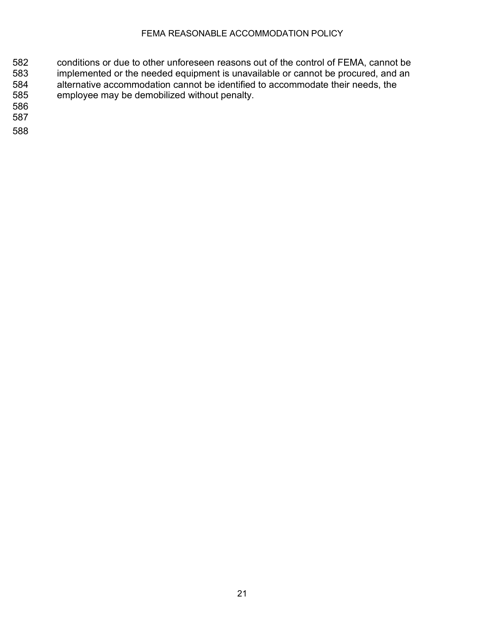- 582 conditions or due to other unforeseen reasons out of the control of FEMA, cannot be<br>583 implemented or the needed equipment is unavailable or cannot be procured, and an 583 implemented or the needed equipment is unavailable or cannot be procured, and an<br>584 alternative accommodation cannot be identified to accommodate their needs, the alternative accommodation cannot be identified to accommodate their needs, the 585 employee may be demobilized without penalty.
- 586
- 587
- 588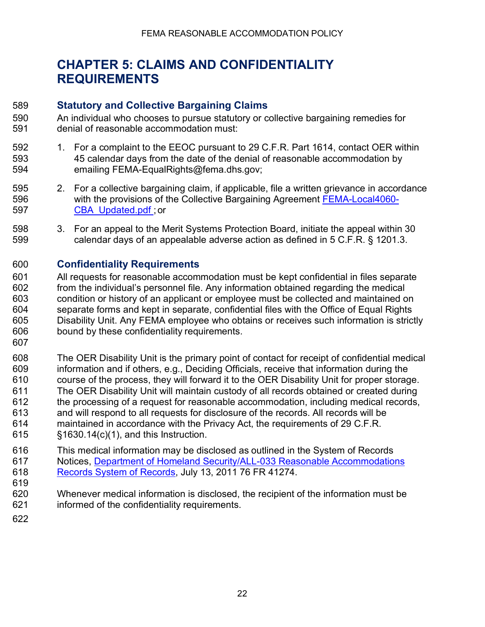# <span id="page-21-1"></span><span id="page-21-0"></span>**CHAPTER 5: CLAIMS AND CONFIDENTIALITY REQUIREMENTS**

#### **Statutory and Collective Bargaining Claims**

- An individual who chooses to pursue statutory or collective bargaining remedies for denial of reasonable accommodation must:
- 1. For a complaint to the EEOC pursuant to 29 C.F.R. Part 1614, contact OER within 45 calendar days from the date of the denial of reasonable accommodation by emailing FEMA-EqualRights@fema.dhs.gov;
- 2. For a collective bargaining claim, if applicable, file a written grievance in accordance 596 with the provisions of the Collective Bargaining Agreement **[FEMA-Local4060-](https://usfema.sharepoint.com/teams/OCCHCO/es/LR/Documents/FEMA-Local4060-CBA_Updated.pdf#search=FEMA%20Collective%20Bargaining%20Unit%20Agreement)** [CBA\\_Updated.pdf ;](https://usfema.sharepoint.com/teams/OCCHCO/es/LR/Documents/FEMA-Local4060-CBA_Updated.pdf#search=FEMA%20Collective%20Bargaining%20Unit%20Agreement) or
- 3. For an appeal to the Merit Systems Protection Board, initiate the appeal within 30 calendar days of an appealable adverse action as defined in 5 C.F.R. § 1201.3.

### <span id="page-21-2"></span>**Confidentiality Requirements**

- All requests for reasonable accommodation must be kept confidential in files separate from the individual's personnel file. Any information obtained regarding the medical condition or history of an applicant or employee must be collected and maintained on separate forms and kept in separate, confidential files with the Office of Equal Rights Disability Unit. Any FEMA employee who obtains or receives such information is strictly bound by these confidentiality requirements.
- 
- The OER Disability Unit is the primary point of contact for receipt of confidential medical information and if others, e.g., Deciding Officials, receive that information during the course of the process, they will forward it to the OER Disability Unit for proper storage. The OER Disability Unit will maintain custody of all records obtained or created during the processing of a request for reasonable accommodation, including medical records, and will respond to all requests for disclosure of the records. All records will be maintained in accordance with the Privacy Act, the requirements of 29 C.F.R. §1630.14(c)(1), and this Instruction.
- This medical information may be disclosed as outlined in the System of Records Notices, [Department of Homeland Security/ALL-033 Reasonable Accommodations](http://www.gpo.gov/fdsys/pkg/FR-2011-07-13/html/2011-17548.htm)  [Records System of Records,](http://www.gpo.gov/fdsys/pkg/FR-2011-07-13/html/2011-17548.htm) July 13, 2011 76 FR 41274.
- Whenever medical information is disclosed, the recipient of the information must be informed of the confidentiality requirements.
-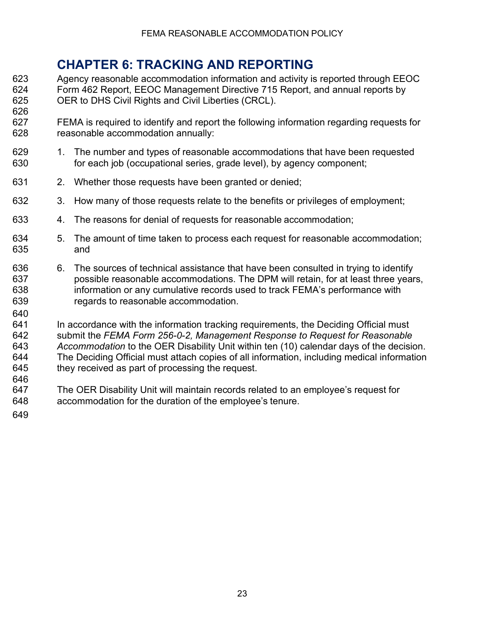# <span id="page-22-0"></span>**CHAPTER 6: TRACKING AND REPORTING**

- 623 Agency reasonable accommodation information and activity is reported through EEOC<br>624 Form 462 Report. EEOC Management Directive 715 Report, and annual reports by 624 Form 462 Report, EEOC Management Directive 715 Report, and annual reports by<br>625 OER to DHS Civil Rights and Civil Liberties (CRCL). OER to DHS Civil Rights and Civil Liberties (CRCL).
- FEMA is required to identify and report the following information regarding requests for reasonable accommodation annually:
- 1. The number and types of reasonable accommodations that have been requested for each job (occupational series, grade level), by agency component;
- 2. Whether those requests have been granted or denied;
- 3. How many of those requests relate to the benefits or privileges of employment;
- 4. The reasons for denial of requests for reasonable accommodation;
- 5. The amount of time taken to process each request for reasonable accommodation; and
- 6. The sources of technical assistance that have been consulted in trying to identify possible reasonable accommodations. The DPM will retain, for at least three years, information or any cumulative records used to track FEMA's performance with regards to reasonable accommodation.
- In accordance with the information tracking requirements, the Deciding Official must submit the *FEMA Form 256-0-2, Management Response to Request for Reasonable Accommodation* to the OER Disability Unit within ten (10) calendar days of the decision. The Deciding Official must attach copies of all information, including medical information they received as part of processing the request.
- The OER Disability Unit will maintain records related to an employee's request for accommodation for the duration of the employee's tenure.
-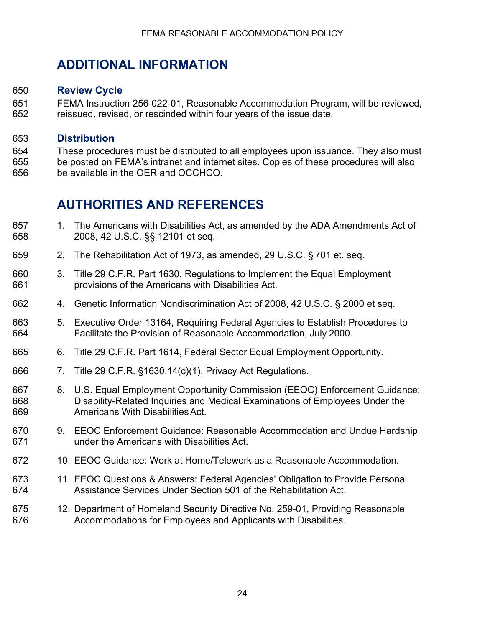# <span id="page-23-1"></span><span id="page-23-0"></span>**ADDITIONAL INFORMATION**

#### **Review Cycle**

 FEMA Instruction 256-022-01, Reasonable Accommodation Program, will be reviewed, reissued, revised, or rescinded within four years of the issue date.

#### <span id="page-23-2"></span>**Distribution**

 These procedures must be distributed to all employees upon issuance. They also must be posted on FEMA's intranet and internet sites. Copies of these procedures will also be available in the OER and OCCHCO.

# <span id="page-23-3"></span>**AUTHORITIES AND REFERENCES**

- 1. The Americans with Disabilities Act, as amended by the ADA Amendments Act of 2008, 42 U.S.C. §§ 12101 et seq.
- 2. The Rehabilitation Act of 1973, as amended, 29 U.S.C. § 701 et. seq.
- 3. Title 29 C.F.R. Part 1630, Regulations to Implement the Equal Employment provisions of the Americans with Disabilities Act.
- 4. Genetic Information Nondiscrimination Act of 2008, 42 U.S.C. § 2000 et seq.
- 5. Executive Order 13164, Requiring Federal Agencies to Establish Procedures to Facilitate the Provision of Reasonable Accommodation, July 2000.
- 6. Title 29 C.F.R. Part 1614, Federal Sector Equal Employment Opportunity.
- 7. Title 29 C.F.R. §1630.14(c)(1), Privacy Act Regulations.
- 8. U.S. Equal Employment Opportunity Commission (EEOC) Enforcement Guidance: Disability-Related Inquiries and Medical Examinations of Employees Under the Americans With DisabilitiesAct.
- 9. EEOC Enforcement Guidance: Reasonable Accommodation and Undue Hardship under the Americans with Disabilities Act.
- 10. EEOC Guidance: Work at Home/Telework as a Reasonable Accommodation.
- 11. EEOC Questions & Answers: Federal Agencies' Obligation to Provide Personal Assistance Services Under Section 501 of the Rehabilitation Act.
- 12. Department of Homeland Security Directive No. 259-01, Providing Reasonable Accommodations for Employees and Applicants with Disabilities.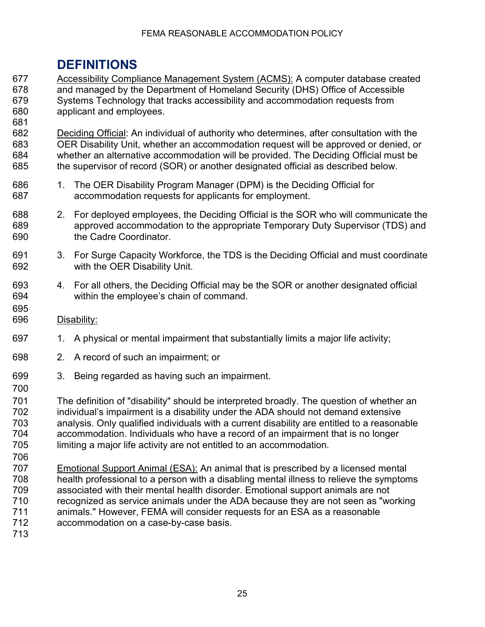# <span id="page-24-0"></span>**DEFINITIONS**

677 Accessibility Compliance Management System (ACMS): A computer database created<br>678 and managed by the Department of Homeland Security (DHS) Office of Accessible and managed by the Department of Homeland Security (DHS) Office of Accessible Systems Technology that tracks accessibility and accommodation requests from applicant and employees.

 Deciding Official: An individual of authority who determines, after consultation with the OER Disability Unit, whether an accommodation request will be approved or denied, or whether an alternative accommodation will be provided. The Deciding Official must be the supervisor of record (SOR) or another designated official as described below.

- 1. The OER Disability Program Manager (DPM) is the Deciding Official for accommodation requests for applicants for employment.
- 2. For deployed employees, the Deciding Official is the SOR who will communicate the approved accommodation to the appropriate Temporary Duty Supervisor (TDS) and the Cadre Coordinator.
- 3. For Surge Capacity Workforce, the TDS is the Deciding Official and must coordinate with the OER Disability Unit.
- 4. For all others, the Deciding Official may be the SOR or another designated official within the employee's chain of command.
- Disability:

- 1. A physical or mental impairment that substantially limits a major life activity;
- 2. A record of such an impairment; or
- 3. Being regarded as having such an impairment.
- The definition of "disability" should be interpreted broadly. The question of whether an individual's impairment is a disability under the ADA should not demand extensive analysis. Only qualified individuals with a current disability are entitled to a reasonable accommodation. Individuals who have a record of an impairment that is no longer limiting a major life activity are not entitled to an accommodation.
- 707 Emotional Support Animal (ESA): An animal that is prescribed by a licensed mental<br>708 health professional to a person with a disabling mental illness to relieve the symptor health professional to a person with a disabling mental illness to relieve the symptoms associated with their mental health disorder. Emotional support animals are not recognized as service animals under the ADA because they are not seen as "working animals." However, FEMA will consider requests for an ESA as a reasonable accommodation on a case-by-case basis.
-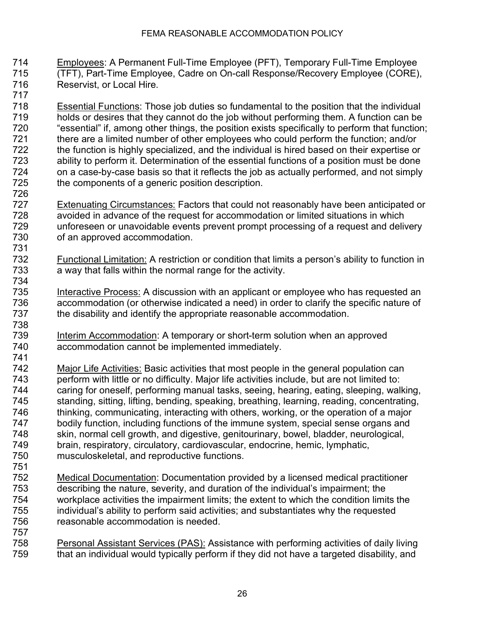Employees: A Permanent Full-Time Employee (PFT), Temporary Full-Time Employee (TFT), Part-Time Employee, Cadre on On-call Response/Recovery Employee (CORE), Reservist, or Local Hire.

- Essential Functions: Those job duties so fundamental to the position that the individual holds or desires that they cannot do the job without performing them. A function can be "essential" if, among other things, the position exists specifically to perform that function; there are a limited number of other employees who could perform the function; and/or The function is highly specialized, and the individual is hired based on their expertise or<br>The specialist ability to perform it. Determination of the essential functions of a position must be done ability to perform it. Determination of the essential functions of a position must be done on a case-by-case basis so that it reflects the job as actually performed, and not simply the components of a generic position description.
- 727 Extenuating Circumstances: Factors that could not reasonably have been anticipated or avoided in advance of the request for accommodation or limited situations in which unforeseen or unavoidable events prevent prompt processing of a request and delivery of an approved accommodation.
- Techniconal Limitation: A restriction or condition that limits a person's ability to function in<br>The way that falls within the normal range for the activity. a way that falls within the normal range for the activity.
- Interactive Process: A discussion with an applicant or employee who has requested an 736 accommodation (or otherwise indicated a need) in order to clarify the specific nature of 737 the disability and identify the appropriate reasonable accommodation. the disability and identify the appropriate reasonable accommodation.
- Interim Accommodation: A temporary or short-term solution when an approved accommodation cannot be implemented immediately.
- 742 Major Life Activities: Basic activities that most people in the general population can<br>743 perform with little or no difficulty. Maior life activities include, but are not limited to: perform with little or no difficulty. Major life activities include, but are not limited to: caring for oneself, performing manual tasks, seeing, hearing, eating, sleeping, walking, standing, sitting, lifting, bending, speaking, breathing, learning, reading, concentrating, thinking, communicating, interacting with others, working, or the operation of a major bodily function, including functions of the immune system, special sense organs and skin, normal cell growth, and digestive, genitourinary, bowel, bladder, neurological, brain, respiratory, circulatory, cardiovascular, endocrine, hemic, lymphatic, musculoskeletal, and reproductive functions.
- 752 Medical Documentation: Documentation provided by a licensed medical practitioner<br>753 describing the nature, severity, and duration of the individual's impairment: the describing the nature, severity, and duration of the individual's impairment; the workplace activities the impairment limits; the extent to which the condition limits the individual's ability to perform said activities; and substantiates why the requested reasonable accommodation is needed.
- Personal Assistant Services (PAS): Assistance with performing activities of daily living that an individual would typically perform if they did not have a targeted disability, and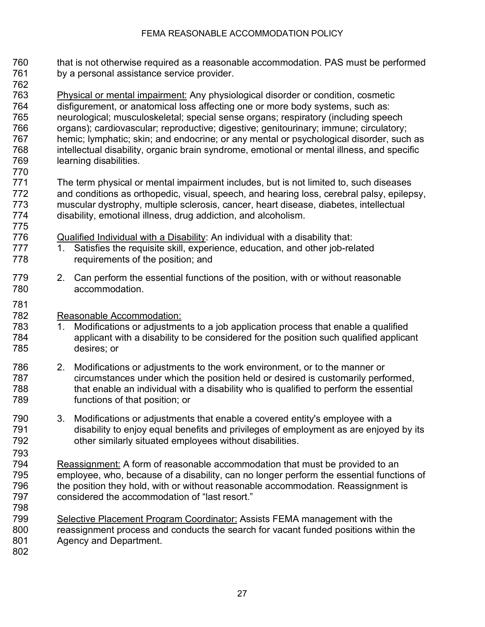- that is not otherwise required as a reasonable accommodation. PAS must be performed by a personal assistance service provider.
- Physical or mental impairment: Any physiological disorder or condition, cosmetic disfigurement, or anatomical loss affecting one or more body systems, such as: neurological; musculoskeletal; special sense organs; respiratory (including speech organs); cardiovascular; reproductive; digestive; genitourinary; immune; circulatory; hemic; lymphatic; skin; and endocrine; or any mental or psychological disorder, such as intellectual disability, organic brain syndrome, emotional or mental illness, and specific learning disabilities.
- The term physical or mental impairment includes, but is not limited to, such diseases and conditions as orthopedic, visual, speech, and hearing loss, cerebral palsy, epilepsy, muscular dystrophy, multiple sclerosis, cancer, heart disease, diabetes, intellectual disability, emotional illness, drug addiction, and alcoholism.
- Qualified Individual with a Disability: An individual with a disability that:
- 777 1. Satisfies the requisite skill, experience, education, and other job-related requirements of the position; and
- 2. Can perform the essential functions of the position, with or without reasonable accommodation.
- Reasonable Accommodation:
- 1. Modifications or adjustments to a job application process that enable a qualified applicant with a disability to be considered for the position such qualified applicant desires; or
- 2. Modifications or adjustments to the work environment, or to the manner or circumstances under which the position held or desired is customarily performed, that enable an individual with a disability who is qualified to perform the essential functions of that position; or
- 3. Modifications or adjustments that enable a covered entity's employee with a disability to enjoy equal benefits and privileges of employment as are enjoyed by its other similarly situated employees without disabilities.
- Reassignment: A form of reasonable accommodation that must be provided to an employee, who, because of a disability, can no longer perform the essential functions of the position they hold, with or without reasonable accommodation. Reassignment is considered the accommodation of "last resort."
- Selective Placement Program Coordinator: Assists FEMA management with the reassignment process and conducts the search for vacant funded positions within the Agency and Department.
-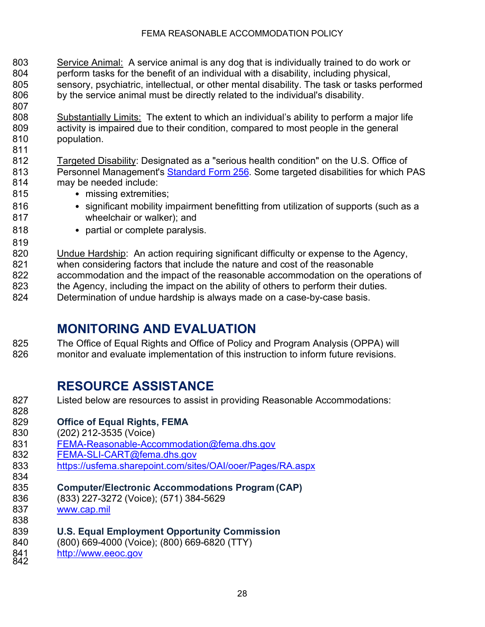- Service Animal: A service animal is any dog that is individually trained to do work or perform tasks for the benefit of an individual with a disability, including physical, sensory, psychiatric, intellectual, or other mental disability. The task or tasks performed by the service animal must be directly related to the individual's disability.
- 808 Substantially Limits: The extent to which an individual's ability to perform a major life activity is impaired due to their condition, compared to most people in the general population.
- Targeted Disability: Designated as a "serious health condition" on the U.S. Office of 813 Personnel Management's [Standard Form 256.](https://www.opm.gov/Forms/pdf_fill/sf256.pdf) Some targeted disabilities for which PAS may be needed include:
- 815 missing extremities;

- 816 significant mobility impairment benefitting from utilization of supports (such as a wheelchair or walker); and
- 818 partial or complete paralysis.
- Undue Hardship: An action requiring significant difficulty or expense to the Agency, when considering factors that include the nature and cost of the reasonable accommodation and the impact of the reasonable accommodation on the operations of 823 the Agency, including the impact on the ability of others to perform their duties. Determination of undue hardship is always made on a case-by-case basis.

# <span id="page-27-0"></span>**MONITORING AND EVALUATION**

 The Office of Equal Rights and Office of Policy and Program Analysis (OPPA) will monitor and evaluate implementation of this instruction to inform future revisions.

# <span id="page-27-1"></span>**RESOURCE ASSISTANCE**

 Listed below are resources to assist in providing Reasonable Accommodations: **Office of Equal Rights, FEMA** (202) 212-3535 (Voice) [FEMA-Reasonable-Accommodation@fema.dhs.gov](mailto:FEMA-Reasonable-Accommodation@fema.dhs.gov) [FEMA-SLI-CART@fema.dhs.gov](mailto:FEMA-SLI-CART@fema.dhs.gov) <https://usfema.sharepoint.com/sites/OAI/ooer/Pages/RA.aspx> **Computer/Electronic Accommodations Program (CAP)** (833) 227-3272 (Voice); (571) 384-5629 [www.cap.mil](http://www.cap.mil/) **U.S. Equal Employment Opportunity Commission**  840 (800) 669-4000 (Voice); (800) 669-6820 (TTY)<br>841 <u>http://www.eeoc.gov</u><br>842 [http://www.eeoc.gov](http://www.eeoc.gov/)